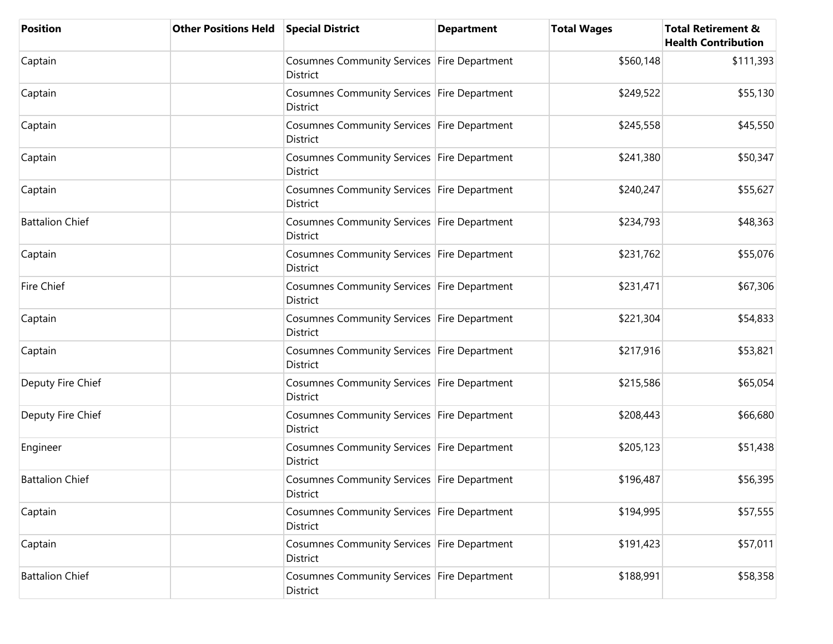| <b>Position</b>        | <b>Other Positions Held</b> | <b>Special District</b>                                        | <b>Department</b> | <b>Total Wages</b> | <b>Total Retirement &amp;</b><br><b>Health Contribution</b> |
|------------------------|-----------------------------|----------------------------------------------------------------|-------------------|--------------------|-------------------------------------------------------------|
| Captain                |                             | Cosumnes Community Services Fire Department<br>District        |                   | \$560,148          | \$111,393                                                   |
| Captain                |                             | Cosumnes Community Services Fire Department<br>District        |                   | \$249,522          | \$55,130                                                    |
| Captain                |                             | Cosumnes Community Services Fire Department<br>District        |                   | \$245,558          | \$45,550                                                    |
| Captain                |                             | Cosumnes Community Services Fire Department<br>District        |                   | \$241,380          | \$50,347                                                    |
| Captain                |                             | Cosumnes Community Services Fire Department<br>District        |                   | \$240,247          | \$55,627                                                    |
| <b>Battalion Chief</b> |                             | Cosumnes Community Services Fire Department<br>District        |                   | \$234,793          | \$48,363                                                    |
| Captain                |                             | Cosumnes Community Services Fire Department<br><b>District</b> |                   | \$231,762          | \$55,076                                                    |
| Fire Chief             |                             | Cosumnes Community Services Fire Department<br><b>District</b> |                   | \$231,471          | \$67,306                                                    |
| Captain                |                             | Cosumnes Community Services Fire Department<br>District        |                   | \$221,304          | \$54,833                                                    |
| Captain                |                             | Cosumnes Community Services Fire Department<br>District        |                   | \$217,916          | \$53,821                                                    |
| Deputy Fire Chief      |                             | Cosumnes Community Services Fire Department<br>District        |                   | \$215,586          | \$65,054                                                    |
| Deputy Fire Chief      |                             | Cosumnes Community Services Fire Department<br>District        |                   | \$208,443          | \$66,680                                                    |
| Engineer               |                             | Cosumnes Community Services Fire Department<br>District        |                   | \$205,123          | \$51,438                                                    |
| <b>Battalion Chief</b> |                             | Cosumnes Community Services Fire Department<br>District        |                   | \$196,487          | \$56,395                                                    |
| Captain                |                             | Cosumnes Community Services Fire Department<br>District        |                   | \$194,995          | \$57,555                                                    |
| Captain                |                             | Cosumnes Community Services Fire Department<br>District        |                   | \$191,423          | \$57,011                                                    |
| <b>Battalion Chief</b> |                             | Cosumnes Community Services Fire Department<br>District        |                   | \$188,991          | \$58,358                                                    |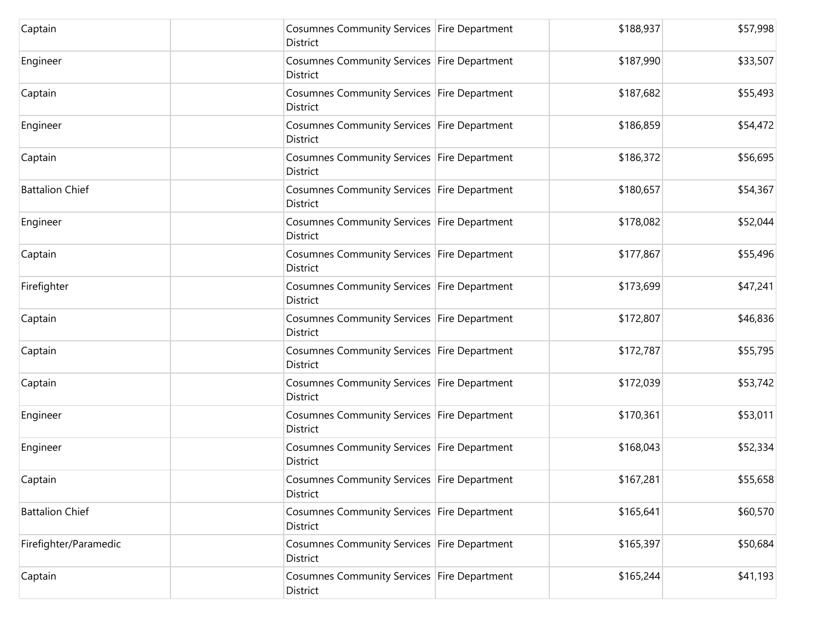| Captain                | Cosumnes Community Services Fire Department<br>District | \$188,937 | \$57,998 |
|------------------------|---------------------------------------------------------|-----------|----------|
| Engineer               | Cosumnes Community Services Fire Department<br>District | \$187,990 | \$33,507 |
| Captain                | Cosumnes Community Services Fire Department<br>District | \$187,682 | \$55,493 |
| Engineer               | Cosumnes Community Services Fire Department<br>District | \$186,859 | \$54,472 |
| Captain                | Cosumnes Community Services Fire Department<br>District | \$186,372 | \$56,695 |
| <b>Battalion Chief</b> | Cosumnes Community Services Fire Department<br>District | \$180,657 | \$54,367 |
| Engineer               | Cosumnes Community Services Fire Department<br>District | \$178,082 | \$52,044 |
| Captain                | Cosumnes Community Services Fire Department<br>District | \$177,867 | \$55,496 |
| Firefighter            | Cosumnes Community Services Fire Department<br>District | \$173,699 | \$47,241 |
| Captain                | Cosumnes Community Services Fire Department<br>District | \$172,807 | \$46,836 |
| Captain                | Cosumnes Community Services Fire Department<br>District | \$172,787 | \$55,795 |
| Captain                | Cosumnes Community Services Fire Department<br>District | \$172,039 | \$53,742 |
| Engineer               | Cosumnes Community Services Fire Department<br>District | \$170,361 | \$53,011 |
| Engineer               | Cosumnes Community Services Fire Department<br>District | \$168,043 | \$52,334 |
| Captain                | Cosumnes Community Services Fire Department<br>District | \$167,281 | \$55,658 |
| <b>Battalion Chief</b> | Cosumnes Community Services Fire Department<br>District | \$165,641 | \$60,570 |
| Firefighter/Paramedic  | Cosumnes Community Services Fire Department<br>District | \$165,397 | \$50,684 |
| Captain                | Cosumnes Community Services Fire Department<br>District | \$165,244 | \$41,193 |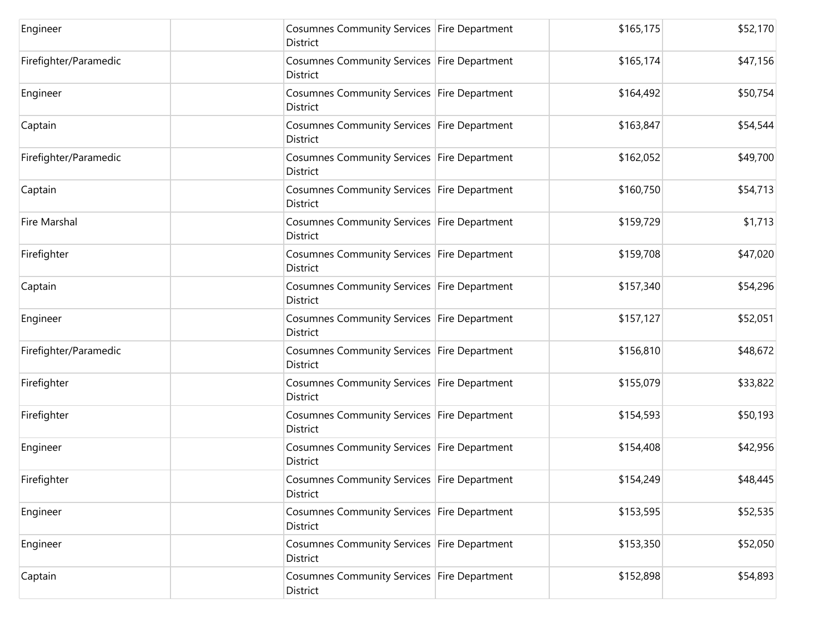| Engineer              | Cosumnes Community Services Fire Department<br>District        | \$165,175 | \$52,170 |
|-----------------------|----------------------------------------------------------------|-----------|----------|
| Firefighter/Paramedic | Cosumnes Community Services Fire Department<br>District        | \$165,174 | \$47,156 |
| Engineer              | Cosumnes Community Services Fire Department<br>District        | \$164,492 | \$50,754 |
| Captain               | Cosumnes Community Services Fire Department<br>District        | \$163,847 | \$54,544 |
| Firefighter/Paramedic | Cosumnes Community Services Fire Department<br>District        | \$162,052 | \$49,700 |
| Captain               | Cosumnes Community Services Fire Department<br>District        | \$160,750 | \$54,713 |
| Fire Marshal          | Cosumnes Community Services Fire Department<br><b>District</b> | \$159,729 | \$1,713  |
| Firefighter           | Cosumnes Community Services Fire Department<br>District        | \$159,708 | \$47,020 |
| Captain               | Cosumnes Community Services Fire Department<br>District        | \$157,340 | \$54,296 |
| Engineer              | Cosumnes Community Services Fire Department<br>District        | \$157,127 | \$52,051 |
| Firefighter/Paramedic | Cosumnes Community Services Fire Department<br>District        | \$156,810 | \$48,672 |
| Firefighter           | Cosumnes Community Services Fire Department<br>District        | \$155,079 | \$33,822 |
| Firefighter           | Cosumnes Community Services Fire Department<br>District        | \$154,593 | \$50,193 |
| Engineer              | Cosumnes Community Services Fire Department<br>District        | \$154,408 | \$42,956 |
| Firefighter           | Cosumnes Community Services Fire Department<br><b>District</b> | \$154,249 | \$48,445 |
| Engineer              | Cosumnes Community Services Fire Department<br>District        | \$153,595 | \$52,535 |
| Engineer              | Cosumnes Community Services Fire Department<br>District        | \$153,350 | \$52,050 |
| Captain               | Cosumnes Community Services Fire Department<br>District        | \$152,898 | \$54,893 |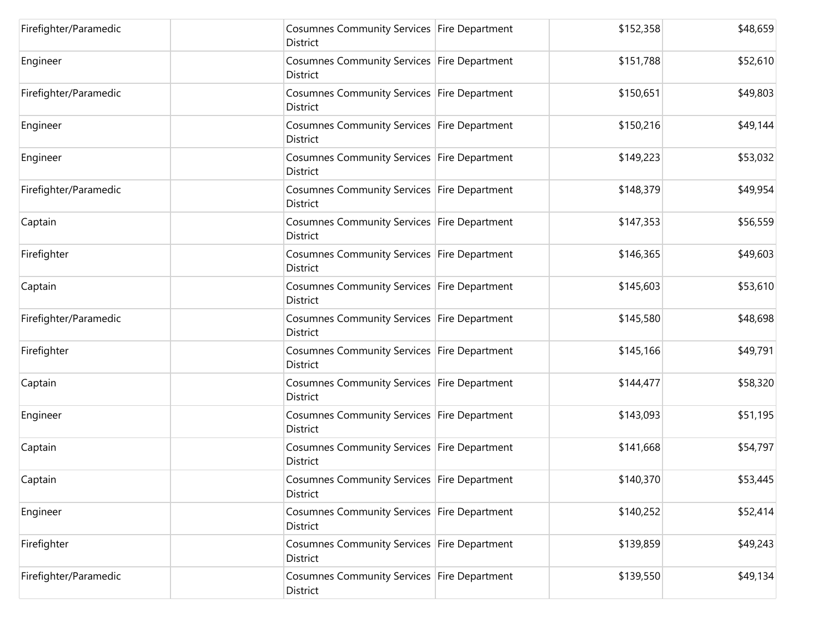| Firefighter/Paramedic | Cosumnes Community Services Fire Department<br>District        | \$152,358 | \$48,659 |
|-----------------------|----------------------------------------------------------------|-----------|----------|
| Engineer              | Cosumnes Community Services Fire Department<br><b>District</b> | \$151,788 | \$52,610 |
| Firefighter/Paramedic | Cosumnes Community Services Fire Department<br>District        | \$150,651 | \$49,803 |
| Engineer              | Cosumnes Community Services Fire Department<br>District        | \$150,216 | \$49,144 |
| Engineer              | Cosumnes Community Services   Fire Department<br>District      | \$149,223 | \$53,032 |
| Firefighter/Paramedic | Cosumnes Community Services Fire Department<br>District        | \$148,379 | \$49,954 |
| Captain               | Cosumnes Community Services Fire Department<br>District        | \$147,353 | \$56,559 |
| Firefighter           | Cosumnes Community Services Fire Department<br>District        | \$146,365 | \$49,603 |
| Captain               | Cosumnes Community Services Fire Department<br>District        | \$145,603 | \$53,610 |
| Firefighter/Paramedic | Cosumnes Community Services Fire Department<br>District        | \$145,580 | \$48,698 |
| Firefighter           | Cosumnes Community Services Fire Department<br>District        | \$145,166 | \$49,791 |
| Captain               | Cosumnes Community Services Fire Department<br>District        | \$144,477 | \$58,320 |
| Engineer              | Cosumnes Community Services Fire Department<br>District        | \$143,093 | \$51,195 |
| Captain               | Cosumnes Community Services Fire Department<br>District        | \$141,668 | \$54,797 |
| Captain               | Cosumnes Community Services Fire Department<br>District        | \$140,370 | \$53,445 |
| Engineer              | Cosumnes Community Services Fire Department<br>District        | \$140,252 | \$52,414 |
| Firefighter           | Cosumnes Community Services Fire Department<br>District        | \$139,859 | \$49,243 |
| Firefighter/Paramedic | Cosumnes Community Services Fire Department<br>District        | \$139,550 | \$49,134 |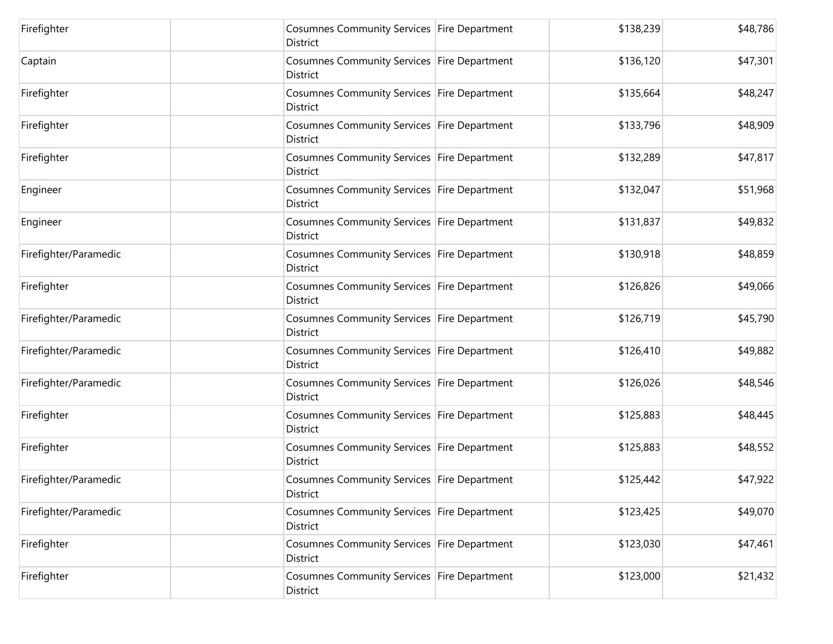| Firefighter           | Cosumnes Community Services Fire Department<br>District        | \$138,239 | \$48,786 |
|-----------------------|----------------------------------------------------------------|-----------|----------|
| Captain               | Cosumnes Community Services Fire Department<br>District        | \$136,120 | \$47,301 |
| Firefighter           | Cosumnes Community Services Fire Department<br>District        | \$135,664 | \$48,247 |
| Firefighter           | Cosumnes Community Services Fire Department<br>District        | \$133,796 | \$48,909 |
| Firefighter           | Cosumnes Community Services Fire Department<br>District        | \$132,289 | \$47,817 |
| Engineer              | Cosumnes Community Services Fire Department<br>District        | \$132,047 | \$51,968 |
| Engineer              | Cosumnes Community Services Fire Department<br><b>District</b> | \$131,837 | \$49,832 |
| Firefighter/Paramedic | Cosumnes Community Services Fire Department<br>District        | \$130,918 | \$48,859 |
| Firefighter           | Cosumnes Community Services Fire Department<br>District        | \$126,826 | \$49,066 |
| Firefighter/Paramedic | Cosumnes Community Services Fire Department<br>District        | \$126,719 | \$45,790 |
| Firefighter/Paramedic | Cosumnes Community Services Fire Department<br>District        | \$126,410 | \$49,882 |
| Firefighter/Paramedic | Cosumnes Community Services Fire Department<br>District        | \$126,026 | \$48,546 |
| Firefighter           | Cosumnes Community Services Fire Department<br>District        | \$125,883 | \$48,445 |
| Firefighter           | Cosumnes Community Services Fire Department<br>District        | \$125,883 | \$48,552 |
| Firefighter/Paramedic | Cosumnes Community Services Fire Department<br>District        | \$125,442 | \$47,922 |
| Firefighter/Paramedic | Cosumnes Community Services Fire Department<br>District        | \$123,425 | \$49,070 |
| Firefighter           | Cosumnes Community Services Fire Department<br>District        | \$123,030 | \$47,461 |
| Firefighter           | Cosumnes Community Services Fire Department<br>District        | \$123,000 | \$21,432 |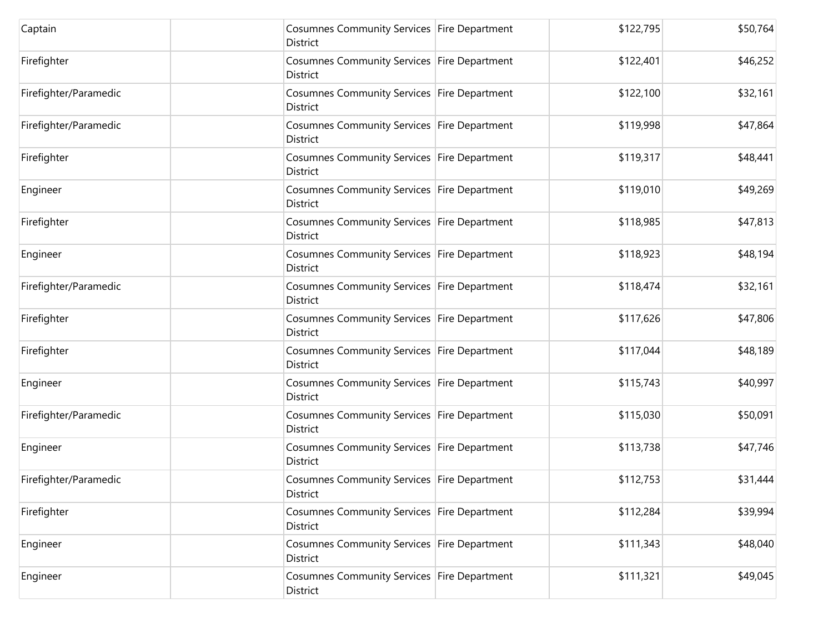| Captain               | Cosumnes Community Services Fire Department<br>District | \$122,795 | \$50,764 |
|-----------------------|---------------------------------------------------------|-----------|----------|
| Firefighter           | Cosumnes Community Services Fire Department<br>District | \$122,401 | \$46,252 |
| Firefighter/Paramedic | Cosumnes Community Services Fire Department<br>District | \$122,100 | \$32,161 |
| Firefighter/Paramedic | Cosumnes Community Services Fire Department<br>District | \$119,998 | \$47,864 |
| Firefighter           | Cosumnes Community Services Fire Department<br>District | \$119,317 | \$48,441 |
| Engineer              | Cosumnes Community Services Fire Department<br>District | \$119,010 | \$49,269 |
| Firefighter           | Cosumnes Community Services Fire Department<br>District | \$118,985 | \$47,813 |
| Engineer              | Cosumnes Community Services Fire Department<br>District | \$118,923 | \$48,194 |
| Firefighter/Paramedic | Cosumnes Community Services Fire Department<br>District | \$118,474 | \$32,161 |
| Firefighter           | Cosumnes Community Services Fire Department<br>District | \$117,626 | \$47,806 |
| Firefighter           | Cosumnes Community Services Fire Department<br>District | \$117,044 | \$48,189 |
| Engineer              | Cosumnes Community Services Fire Department<br>District | \$115,743 | \$40,997 |
| Firefighter/Paramedic | Cosumnes Community Services Fire Department<br>District | \$115,030 | \$50,091 |
| Engineer              | Cosumnes Community Services Fire Department<br>District | \$113,738 | \$47,746 |
| Firefighter/Paramedic | Cosumnes Community Services Fire Department<br>District | \$112,753 | \$31,444 |
| Firefighter           | Cosumnes Community Services Fire Department<br>District | \$112,284 | \$39,994 |
| Engineer              | Cosumnes Community Services Fire Department<br>District | \$111,343 | \$48,040 |
| Engineer              | Cosumnes Community Services Fire Department<br>District | \$111,321 | \$49,045 |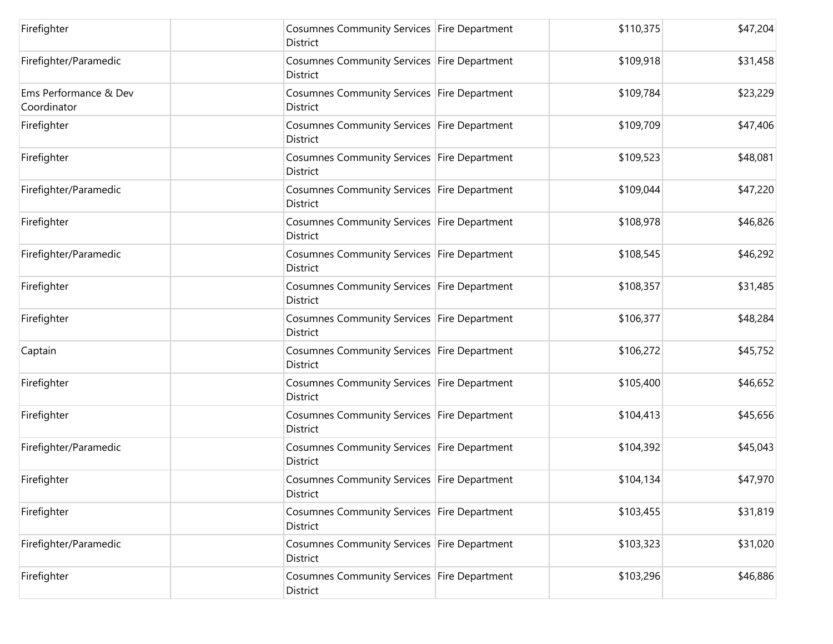| Firefighter                          | Cosumnes Community Services Fire Department<br>District        | \$110,375 | \$47,204 |
|--------------------------------------|----------------------------------------------------------------|-----------|----------|
| Firefighter/Paramedic                | Cosumnes Community Services   Fire Department<br>District      | \$109,918 | \$31,458 |
| Ems Performance & Dev<br>Coordinator | Cosumnes Community Services Fire Department<br>District        | \$109,784 | \$23,229 |
| Firefighter                          | Cosumnes Community Services Fire Department<br>District        | \$109,709 | \$47,406 |
| Firefighter                          | Cosumnes Community Services Fire Department<br>District        | \$109,523 | \$48,081 |
| Firefighter/Paramedic                | Cosumnes Community Services Fire Department<br>District        | \$109,044 | \$47,220 |
| Firefighter                          | Cosumnes Community Services Fire Department<br><b>District</b> | \$108,978 | \$46,826 |
| Firefighter/Paramedic                | Cosumnes Community Services Fire Department<br>District        | \$108,545 | \$46,292 |
| Firefighter                          | Cosumnes Community Services Fire Department<br>District        | \$108,357 | \$31,485 |
| Firefighter                          | Cosumnes Community Services Fire Department<br>District        | \$106,377 | \$48,284 |
| Captain                              | Cosumnes Community Services Fire Department<br>District        | \$106,272 | \$45,752 |
| Firefighter                          | Cosumnes Community Services Fire Department<br>District        | \$105,400 | \$46,652 |
| Firefighter                          | Cosumnes Community Services Fire Department<br>District        | \$104,413 | \$45,656 |
| Firefighter/Paramedic                | Cosumnes Community Services Fire Department<br><b>District</b> | \$104,392 | \$45,043 |
| Firefighter                          | Cosumnes Community Services Fire Department<br>District        | \$104,134 | \$47,970 |
| Firefighter                          | Cosumnes Community Services Fire Department<br>District        | \$103,455 | \$31,819 |
| Firefighter/Paramedic                | Cosumnes Community Services Fire Department<br>District        | \$103,323 | \$31,020 |
| Firefighter                          | Cosumnes Community Services Fire Department<br>District        | \$103,296 | \$46,886 |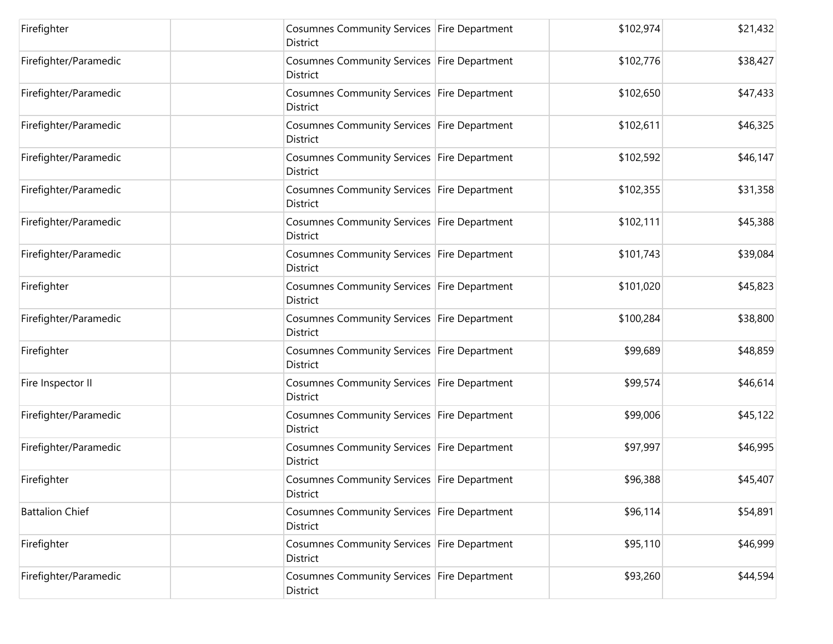| Firefighter            | Cosumnes Community Services Fire Department<br>District        | \$102,974 | \$21,432 |
|------------------------|----------------------------------------------------------------|-----------|----------|
| Firefighter/Paramedic  | Cosumnes Community Services Fire Department<br>District        | \$102,776 | \$38,427 |
| Firefighter/Paramedic  | Cosumnes Community Services Fire Department<br>District        | \$102,650 | \$47,433 |
| Firefighter/Paramedic  | Cosumnes Community Services Fire Department<br>District        | \$102,611 | \$46,325 |
| Firefighter/Paramedic  | Cosumnes Community Services Fire Department<br><b>District</b> | \$102,592 | \$46,147 |
| Firefighter/Paramedic  | Cosumnes Community Services Fire Department<br>District        | \$102,355 | \$31,358 |
| Firefighter/Paramedic  | Cosumnes Community Services Fire Department<br><b>District</b> | \$102,111 | \$45,388 |
| Firefighter/Paramedic  | Cosumnes Community Services Fire Department<br>District        | \$101,743 | \$39,084 |
| Firefighter            | Cosumnes Community Services Fire Department<br>District        | \$101,020 | \$45,823 |
| Firefighter/Paramedic  | Cosumnes Community Services Fire Department<br>District        | \$100,284 | \$38,800 |
| Firefighter            | Cosumnes Community Services Fire Department<br>District        | \$99,689  | \$48,859 |
| Fire Inspector II      | Cosumnes Community Services Fire Department<br>District        | \$99,574  | \$46,614 |
| Firefighter/Paramedic  | Cosumnes Community Services Fire Department<br>District        | \$99,006  | \$45,122 |
| Firefighter/Paramedic  | Cosumnes Community Services Fire Department<br><b>District</b> | \$97,997  | \$46,995 |
| Firefighter            | Cosumnes Community Services Fire Department<br>District        | \$96,388  | \$45,407 |
| <b>Battalion Chief</b> | Cosumnes Community Services Fire Department<br>District        | \$96,114  | \$54,891 |
| Firefighter            | Cosumnes Community Services Fire Department<br>District        | \$95,110  | \$46,999 |
| Firefighter/Paramedic  | Cosumnes Community Services Fire Department<br>District        | \$93,260  | \$44,594 |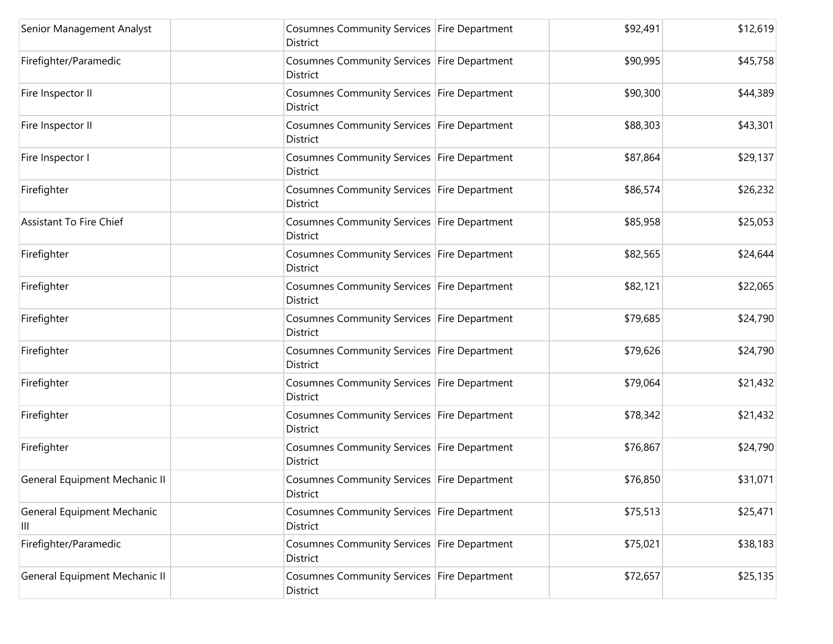| Senior Management Analyst       | Cosumnes Community Services Fire Department<br>District        | \$92,491 | \$12,619 |
|---------------------------------|----------------------------------------------------------------|----------|----------|
| Firefighter/Paramedic           | Cosumnes Community Services Fire Department<br><b>District</b> | \$90,995 | \$45,758 |
| Fire Inspector II               | Cosumnes Community Services Fire Department<br>District        | \$90,300 | \$44,389 |
| Fire Inspector II               | Cosumnes Community Services Fire Department<br>District        | \$88,303 | \$43,301 |
| Fire Inspector I                | Cosumnes Community Services Fire Department<br>District        | \$87,864 | \$29,137 |
| Firefighter                     | Cosumnes Community Services Fire Department<br>District        | \$86,574 | \$26,232 |
| <b>Assistant To Fire Chief</b>  | Cosumnes Community Services Fire Department<br>District        | \$85,958 | \$25,053 |
| Firefighter                     | Cosumnes Community Services Fire Department<br>District        | \$82,565 | \$24,644 |
| Firefighter                     | Cosumnes Community Services Fire Department<br><b>District</b> | \$82,121 | \$22,065 |
| Firefighter                     | Cosumnes Community Services Fire Department<br>District        | \$79,685 | \$24,790 |
| Firefighter                     | Cosumnes Community Services Fire Department<br>District        | \$79,626 | \$24,790 |
| Firefighter                     | Cosumnes Community Services Fire Department<br>District        | \$79,064 | \$21,432 |
| Firefighter                     | Cosumnes Community Services Fire Department<br>District        | \$78,342 | \$21,432 |
| Firefighter                     | Cosumnes Community Services Fire Department<br>District        | \$76,867 | \$24,790 |
| General Equipment Mechanic II   | Cosumnes Community Services Fire Department<br>District        | \$76,850 | \$31,071 |
| General Equipment Mechanic<br>Ш | Cosumnes Community Services Fire Department<br>District        | \$75,513 | \$25,471 |
| Firefighter/Paramedic           | Cosumnes Community Services Fire Department<br><b>District</b> | \$75,021 | \$38,183 |
| General Equipment Mechanic II   | Cosumnes Community Services Fire Department<br>District        | \$72,657 | \$25,135 |